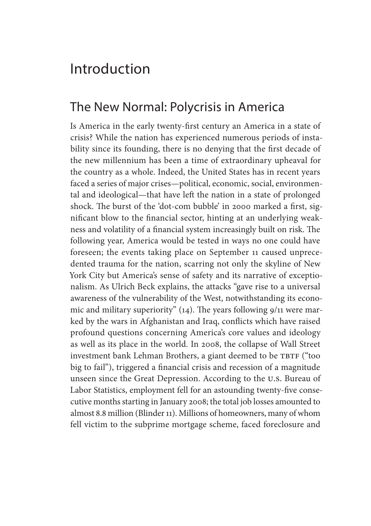# The New Normal: Polycrisis in America

Is America in the early twenty-first century an America in a state of crisis? While the nation has experienced numerous periods of instability since its founding, there is no denying that the first decade of the new millennium has been a time of extraordinary upheaval for the country as a whole. Indeed, the United States has in recent years faced a series of major crises—political, economic, social, environmental and ideological—that have left the nation in a state of prolonged shock. The burst of the 'dot-com bubble' in 2000 marked a first, significant blow to the financial sector, hinting at an underlying weakness and volatility of a financial system increasingly built on risk. The following year, America would be tested in ways no one could have foreseen; the events taking place on September 11 caused unprecedented trauma for the nation, scarring not only the skyline of New York City but America's sense of safety and its narrative of exceptionalism. As Ulrich Beck explains, the attacks "gave rise to a universal awareness of the vulnerability of the West, notwithstanding its economic and military superiority" (14). The years following 9/11 were marked by the wars in Afghanistan and Iraq, conflicts which have raised profound questions concerning America's core values and ideology as well as its place in the world. In 2008, the collapse of Wall Street investment bank Lehman Brothers, a giant deemed to be TBTF ("too big to fail"), triggered a financial crisis and recession of a magnitude unseen since the Great Depression. According to the U.S. Bureau of Labor Statistics, employment fell for an astounding twenty-five consecutive months starting in January 2008; the total job losses amounted to almost 8.8 million (Blinder 11). Millions of homeowners, many of whom fell victim to the subprime mortgage scheme, faced foreclosure and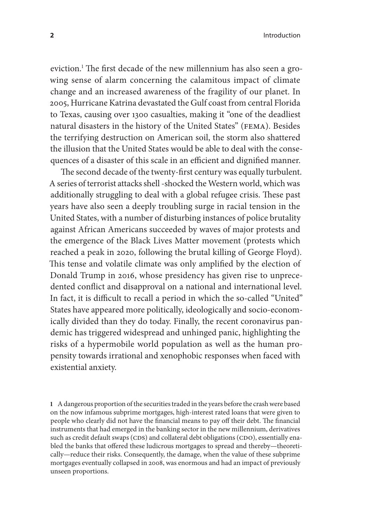eviction.1 The first decade of the new millennium has also seen a growing sense of alarm concerning the calamitous impact of climate change and an increased awareness of the fragility of our planet. In 2005, Hurricane Katrina devastated the Gulf coast from central Florida to Texas, causing over 1300 casualties, making it "one of the deadliest natural disasters in the history of the United States" (FEMA). Besides the terrifying destruction on American soil, the storm also shattered the illusion that the United States would be able to deal with the consequences of a disaster of this scale in an efficient and dignified manner.

The second decade of the twenty-first century was equally turbulent. A series of terrorist attacks shell -shocked the Western world, which was additionally struggling to deal with a global refugee crisis. These past years have also seen a deeply troubling surge in racial tension in the United States, with a number of disturbing instances of police brutality against African Americans succeeded by waves of major protests and the emergence of the Black Lives Matter movement (protests which reached a peak in 2020, following the brutal killing of George Floyd). This tense and volatile climate was only amplified by the election of Donald Trump in 2016, whose presidency has given rise to unprecedented conflict and disapproval on a national and international level. In fact, it is difficult to recall a period in which the so-called "United" States have appeared more politically, ideologically and socio-economically divided than they do today. Finally, the recent coronavirus pandemic has triggered widespread and unhinged panic, highlighting the risks of a hypermobile world population as well as the human propensity towards irrational and xenophobic responses when faced with existential anxiety.

**1** A dangerous proportion of the securities traded in the years before the crash were based on the now infamous subprime mortgages, high-interest rated loans that were given to people who clearly did not have the financial means to pay off their debt. The financial instruments that had emerged in the banking sector in the new millennium, derivatives such as credit default swaps (CDS) and collateral debt obligations (CDO), essentially enabled the banks that offered these ludicrous mortgages to spread and thereby—theoretically—reduce their risks. Consequently, the damage, when the value of these subprime mortgages eventually collapsed in 2008, was enormous and had an impact of previously unseen proportions.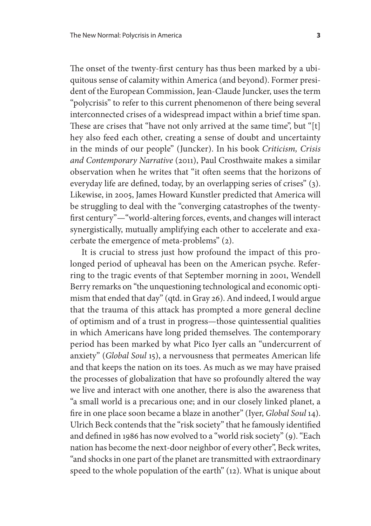The onset of the twenty-first century has thus been marked by a ubiquitous sense of calamity within America (and beyond). Former president of the European Commission, Jean-Claude Juncker, uses the term "polycrisis" to refer to this current phenomenon of there being several interconnected crises of a widespread impact within a brief time span. These are crises that "have not only arrived at the same time", but "[t] hey also feed each other, creating a sense of doubt and uncertainty in the minds of our people" (Juncker). In his book *Criticism, Crisis and Contemporary Narrative* (2011), Paul Crosthwaite makes a similar observation when he writes that "it often seems that the horizons of everyday life are defined, today, by an overlapping series of crises" (3). Likewise, in 2005, James Howard Kunstler predicted that America will be struggling to deal with the "converging catastrophes of the twentyfirst century"—"world-altering forces, events, and changes will interact synergistically, mutually amplifying each other to accelerate and exacerbate the emergence of meta-problems" (2).

It is crucial to stress just how profound the impact of this prolonged period of upheaval has been on the American psyche. Referring to the tragic events of that September morning in 2001, Wendell Berry remarks on "the unquestioning technological and economic optimism that ended that day" (qtd. in Gray 26). And indeed, I would argue that the trauma of this attack has prompted a more general decline of optimism and of a trust in progress—those quintessential qualities in which Americans have long prided themselves. The contemporary period has been marked by what Pico Iyer calls an "undercurrent of anxiety" (*Global Soul* 15), a nervousness that permeates American life and that keeps the nation on its toes. As much as we may have praised the processes of globalization that have so profoundly altered the way we live and interact with one another, there is also the awareness that "a small world is a precarious one; and in our closely linked planet, a fire in one place soon became a blaze in another" (Iyer, *Global Soul* 14). Ulrich Beck contends that the "risk society" that he famously identified and defined in 1986 has now evolved to a "world risk society" (9). "Each nation has become the next-door neighbor of every other", Beck writes, "and shocks in one part of the planet are transmitted with extraordinary speed to the whole population of the earth" (12). What is unique about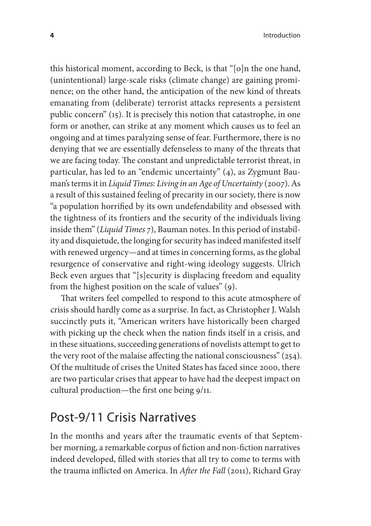this historical moment, according to Beck, is that "[o]n the one hand, (unintentional) large-scale risks (climate change) are gaining prominence; on the other hand, the anticipation of the new kind of threats emanating from (deliberate) terrorist attacks represents a persistent public concern" (15). It is precisely this notion that catastrophe, in one form or another, can strike at any moment which causes us to feel an ongoing and at times paralyzing sense of fear. Furthermore, there is no denying that we are essentially defenseless to many of the threats that we are facing today. The constant and unpredictable terrorist threat, in particular, has led to an "endemic uncertainty" (4), as Zygmunt Bauman's terms it in *Liquid Times: Living in an Age of Uncertainty* (2007). As a result of this sustained feeling of precarity in our society, there is now "a population horrified by its own undefendability and obsessed with the tightness of its frontiers and the security of the individuals living inside them" (*Liquid Times* 7), Bauman notes. In this period of instability and disquietude, the longing for security has indeed manifested itself with renewed urgency—and at times in concerning forms, as the global resurgence of conservative and right-wing ideology suggests. Ulrich Beck even argues that "[s]ecurity is displacing freedom and equality from the highest position on the scale of values" (9).

That writers feel compelled to respond to this acute atmosphere of crisis should hardly come as a surprise. In fact, as Christopher J. Walsh succinctly puts it, "American writers have historically been charged with picking up the check when the nation finds itself in a crisis, and in these situations, succeeding generations of novelists attempt to get to the very root of the malaise affecting the national consciousness" (254). Of the multitude of crises the United States has faced since 2000, there are two particular crises that appear to have had the deepest impact on cultural production—the first one being 9/11.

#### Post-9/11 Crisis Narratives

In the months and years after the traumatic events of that September morning, a remarkable corpus of fiction and non-fiction narratives indeed developed, filled with stories that all try to come to terms with the trauma inflicted on America. In *After the Fall* (2011), Richard Gray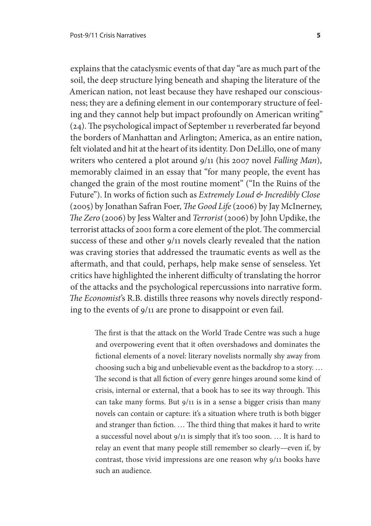explains that the cataclysmic events of that day "are as much part of the soil, the deep structure lying beneath and shaping the literature of the American nation, not least because they have reshaped our consciousness; they are a defining element in our contemporary structure of feeling and they cannot help but impact profoundly on American writing" (24). The psychological impact of September 11 reverberated far beyond the borders of Manhattan and Arlington; America, as an entire nation, felt violated and hit at the heart of its identity. Don DeLillo, one of many writers who centered a plot around 9/11 (his 2007 novel *Falling Man*), memorably claimed in an essay that "for many people, the event has changed the grain of the most routine moment" ("In the Ruins of the Future"). In works of fiction such as *Extremely Loud & Incredibly Close* (2005) by Jonathan Safran Foer, *The Good Life* (2006) by Jay McInerney, *The Zero* (2006) by Jess Walter and *Terrorist* (2006) by John Updike, the terrorist attacks of 2001 form a core element of the plot. The commercial success of these and other 9/11 novels clearly revealed that the nation was craving stories that addressed the traumatic events as well as the aftermath, and that could, perhaps, help make sense of senseless. Yet critics have highlighted the inherent difficulty of translating the horror of the attacks and the psychological repercussions into narrative form. *The Economist*'s R.B. distills three reasons why novels directly responding to the events of 9/11 are prone to disappoint or even fail.

The first is that the attack on the World Trade Centre was such a huge and overpowering event that it often overshadows and dominates the fictional elements of a novel: literary novelists normally shy away from choosing such a big and unbelievable event as the backdrop to a story. … The second is that all fiction of every genre hinges around some kind of crisis, internal or external, that a book has to see its way through. This can take many forms. But 9/11 is in a sense a bigger crisis than many novels can contain or capture: it's a situation where truth is both bigger and stranger than fiction. … The third thing that makes it hard to write a successful novel about 9/11 is simply that it's too soon. … It is hard to relay an event that many people still remember so clearly—even if, by contrast, those vivid impressions are one reason why 9/11 books have such an audience.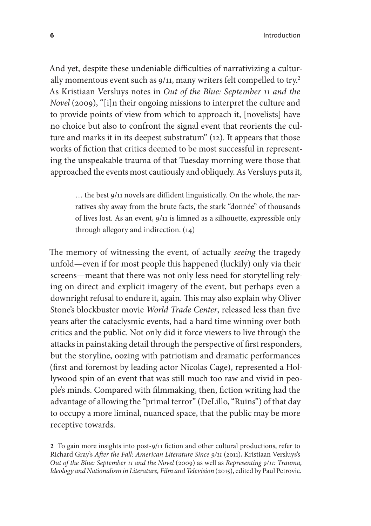And yet, despite these undeniable difficulties of narrativizing a culturally momentous event such as 9/11, many writers felt compelled to try.<sup>2</sup> As Kristiaan Versluys notes in *Out of the Blue: September 11 and the Novel* (2009), "[i]n their ongoing missions to interpret the culture and to provide points of view from which to approach it, [novelists] have no choice but also to confront the signal event that reorients the culture and marks it in its deepest substratum" (12). It appears that those works of fiction that critics deemed to be most successful in representing the unspeakable trauma of that Tuesday morning were those that approached the events most cautiously and obliquely. As Versluys puts it,

> … the best 9/11 novels are diffident linguistically. On the whole, the narratives shy away from the brute facts, the stark "donnée" of thousands of lives lost. As an event, 9/11 is limned as a silhouette, expressible only through allegory and indirection. (14)

The memory of witnessing the event, of actually *seeing* the tragedy unfold—even if for most people this happened (luckily) only via their screens—meant that there was not only less need for storytelling relying on direct and explicit imagery of the event, but perhaps even a downright refusal to endure it, again. This may also explain why Oliver Stone's blockbuster movie *World Trade Center*, released less than five years after the cataclysmic events, had a hard time winning over both critics and the public. Not only did it force viewers to live through the attacks in painstaking detail through the perspective of first responders, but the storyline, oozing with patriotism and dramatic performances (first and foremost by leading actor Nicolas Cage), represented a Hollywood spin of an event that was still much too raw and vivid in people's minds. Compared with filmmaking, then, fiction writing had the advantage of allowing the "primal terror" (DeLillo, "Ruins") of that day to occupy a more liminal, nuanced space, that the public may be more receptive towards.

**2** To gain more insights into post-9/11 fiction and other cultural productions, refer to Richard Gray's *After the Fall: American Literature Since 9/11* (2011), Kristiaan Versluys's *Out of the Blue: September 11 and the Novel* (2009) as well as *Representing 9/11: Trauma, Ideology and Nationalism in Literature, Film and Television* (2015), edited by Paul Petrovic.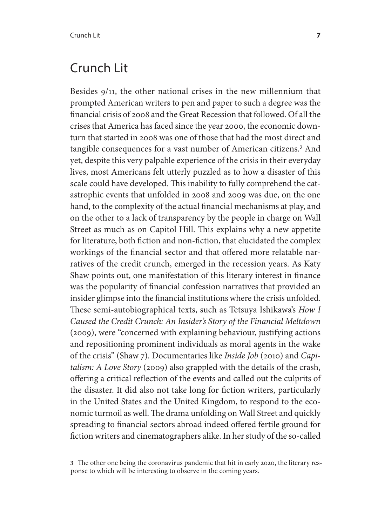### Crunch Lit

Besides 9/11, the other national crises in the new millennium that prompted American writers to pen and paper to such a degree was the financial crisis of 2008 and the Great Recession that followed. Of all the crises that America has faced since the year 2000, the economic downturn that started in 2008 was one of those that had the most direct and tangible consequences for a vast number of American citizens.<sup>3</sup> And yet, despite this very palpable experience of the crisis in their everyday lives, most Americans felt utterly puzzled as to how a disaster of this scale could have developed. This inability to fully comprehend the catastrophic events that unfolded in 2008 and 2009 was due, on the one hand, to the complexity of the actual financial mechanisms at play, and on the other to a lack of transparency by the people in charge on Wall Street as much as on Capitol Hill. This explains why a new appetite for literature, both fiction and non-fiction, that elucidated the complex workings of the financial sector and that offered more relatable narratives of the credit crunch, emerged in the recession years. As Katy Shaw points out, one manifestation of this literary interest in finance was the popularity of financial confession narratives that provided an insider glimpse into the financial institutions where the crisis unfolded. These semi-autobiographical texts, such as Tetsuya Ishikawa's *How I Caused the Credit Crunch: An Insider's Story of the Financial Meltdown*  (2009), were "concerned with explaining behaviour, justifying actions and repositioning prominent individuals as moral agents in the wake of the crisis" (Shaw 7). Documentaries like *Inside Job* (2010) and *Capitalism: A Love Story* (2009) also grappled with the details of the crash, offering a critical reflection of the events and called out the culprits of the disaster. It did also not take long for fiction writers, particularly in the United States and the United Kingdom, to respond to the economic turmoil as well. The drama unfolding on Wall Street and quickly spreading to financial sectors abroad indeed offered fertile ground for fiction writers and cinematographers alike. In her study of the so-called

**<sup>3</sup>** The other one being the coronavirus pandemic that hit in early 2020, the literary response to which will be interesting to observe in the coming years.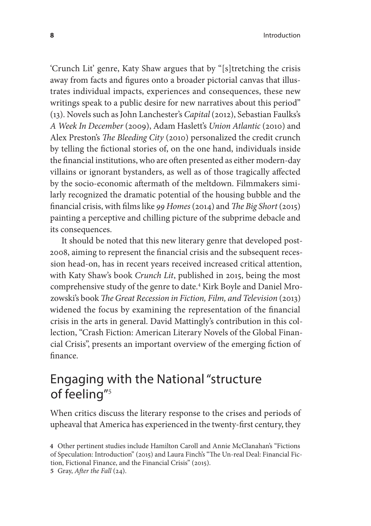'Crunch Lit' genre, Katy Shaw argues that by "[s]tretching the crisis away from facts and figures onto a broader pictorial canvas that illustrates individual impacts, experiences and consequences, these new writings speak to a public desire for new narratives about this period" (13). Novels such as John Lanchester's *Capital* (2012), Sebastian Faulks's *A Week In December* (2009), Adam Haslett's *Union Atlantic* (2010) and Alex Preston's *The Bleeding City* (2010) personalized the credit crunch by telling the fictional stories of, on the one hand, individuals inside the financial institutions, who are often presented as either modern-day villains or ignorant bystanders, as well as of those tragically affected by the socio-economic aftermath of the meltdown. Filmmakers similarly recognized the dramatic potential of the housing bubble and the financial crisis, with films like *99 Homes* (2014) and *The Big Short* (2015) painting a perceptive and chilling picture of the subprime debacle and its consequences.

It should be noted that this new literary genre that developed post-2008, aiming to represent the financial crisis and the subsequent recession head-on, has in recent years received increased critical attention, with Katy Shaw's book *Crunch Lit*, published in 2015, being the most comprehensive study of the genre to date.4 Kirk Boyle and Daniel Mrozowski's book *The Great Recession in Fiction, Film, and Television* (2013) widened the focus by examining the representation of the financial crisis in the arts in general. David Mattingly's contribution in this collection, "Crash Fiction: American Literary Novels of the Global Financial Crisis", presents an important overview of the emerging fiction of finance.

# Engaging with the National "structure of feeling"<sup>5</sup>

When critics discuss the literary response to the crises and periods of upheaval that America has experienced in the twenty-first century, they

**<sup>4</sup>** Other pertinent studies include Hamilton Caroll and Annie McClanahan's "Fictions of Speculation: Introduction" (2015) and Laura Finch's "The Un-real Deal: Financial Fiction, Fictional Finance, and the Financial Crisis" (2015).

**<sup>5</sup>** Gray, *After the Fall* (24).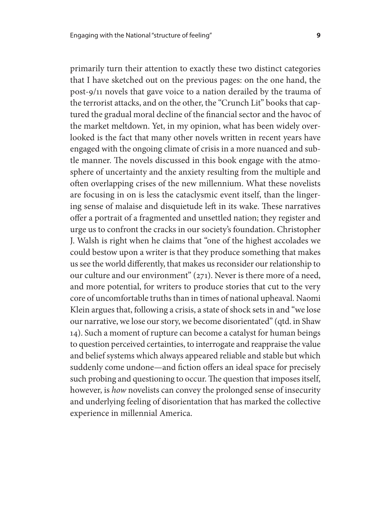primarily turn their attention to exactly these two distinct categories that I have sketched out on the previous pages: on the one hand, the post-9/11 novels that gave voice to a nation derailed by the trauma of the terrorist attacks, and on the other, the "Crunch Lit" books that captured the gradual moral decline of the financial sector and the havoc of the market meltdown. Yet, in my opinion, what has been widely overlooked is the fact that many other novels written in recent years have engaged with the ongoing climate of crisis in a more nuanced and subtle manner. The novels discussed in this book engage with the atmosphere of uncertainty and the anxiety resulting from the multiple and often overlapping crises of the new millennium. What these novelists are focusing in on is less the cataclysmic event itself, than the lingering sense of malaise and disquietude left in its wake. These narratives offer a portrait of a fragmented and unsettled nation; they register and urge us to confront the cracks in our society's foundation. Christopher J. Walsh is right when he claims that "one of the highest accolades we could bestow upon a writer is that they produce something that makes us see the world differently, that makes us reconsider our relationship to our culture and our environment" (271). Never is there more of a need, and more potential, for writers to produce stories that cut to the very core of uncomfortable truths than in times of national upheaval. Naomi Klein argues that, following a crisis, a state of shock sets in and "we lose our narrative, we lose our story, we become disorientated" (qtd. in Shaw 14). Such a moment of rupture can become a catalyst for human beings to question perceived certainties, to interrogate and reappraise the value and belief systems which always appeared reliable and stable but which suddenly come undone—and fiction offers an ideal space for precisely such probing and questioning to occur. The question that imposes itself, however, is *how* novelists can convey the prolonged sense of insecurity and underlying feeling of disorientation that has marked the collective experience in millennial America.